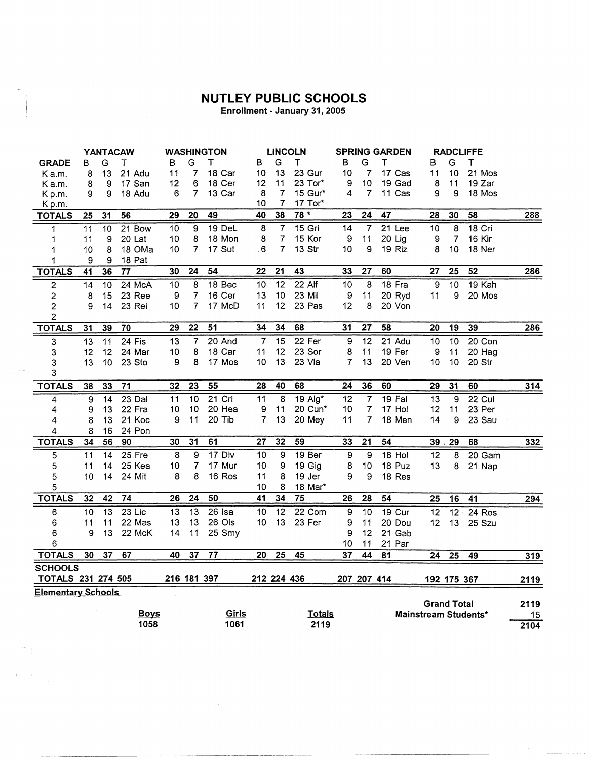## **NUTLEY PUBLIC SCHOOLS**

Enrollment - January 31, 2005

|                           |                 |                 | <b>YANTACAW</b> |                 |                | <b>WASHINGTON</b> |             | <b>LINCOLN</b>  |                   | <b>SPRING GARDEN</b> |                |          |                    | <b>RADCLIFFE</b> |                      |      |
|---------------------------|-----------------|-----------------|-----------------|-----------------|----------------|-------------------|-------------|-----------------|-------------------|----------------------|----------------|----------|--------------------|------------------|----------------------|------|
| <b>GRADE</b>              | в               | G               | Τ               | в               | G              | т                 | В           | G               | т                 | в                    | G              | Т        | в                  | G                | $\sf T$              |      |
| K a.m.                    | 8               | 13              | 21 Adu          | 11              | 7              | 18 Car            | 10          | 13              | 23 Gur            | 10                   | 7              | 17 Cas   | 11                 | 10               | 21 Mos               |      |
| Ka.m.                     | 8               | 9               | 17 San          | 12              | 6              | 18 Cer            | 12          | 11              | 23 Tor*           | 9                    | 10             | 19 Gad   | 8                  | 11               | 19 Zar               |      |
| Kp.m.                     | 9               | 9               | 18 Adu          | 6               | $\overline{7}$ | 13 Car            | 8           | $\overline{7}$  | 15 Gur*           | 4                    | 7              | 11 Cas   | 9                  | 9                | 18 Mos               |      |
| Kp.m.                     |                 |                 |                 |                 |                |                   | 10          | $\overline{7}$  | 17 Tor*           |                      |                |          |                    |                  |                      |      |
| <b>TOTALS</b>             | 25              | 31              | 56              | 29              | 20             | 49                | 40          | 38              | $78 *$            | 23                   | 24             | 47       | 28                 | 30               | 58                   | 288  |
| 1                         | 11              | 10              | 21 Bow          | $\overline{10}$ | 9              | 19 DeL            | 8           | $\overline{7}$  | $15$ Gri          | 14                   | $\overline{7}$ | 21 Lee   | 10                 | $\overline{8}$   | 18 Cri               |      |
| 1                         | 11              | 9               | 20 Lat          | 10              | 8              | 18 Mon            | 8           | 7               | 15 Kor            | 9                    | 11             | 20 Lig   | 9                  | $\overline{7}$   | 16 Kir               |      |
| 1                         | 10              | 8               | 18 OMa          | 10              | $\overline{7}$ | 17 Sut            | 6           | 7               | 13 Str            | 10                   | 9              | 19 Riz   | 8                  | 10               | 18 Ner               |      |
| 1                         | 9               | 9               | 18 Pat          |                 |                |                   |             |                 |                   |                      |                |          |                    |                  |                      |      |
| <b>TOTALS</b>             | 41              | 36              | 77              | 30              | 24             | 54                | 22          | 21              | 43                | 33                   | 27             | 60       | 27                 | 25               | 52                   | 286  |
| $\overline{2}$            | $\overline{14}$ | 10              | 24 McA          | 10              | 8              | 18 Bec            | 10          | $\overline{12}$ | $22$ Alf          | 10                   | $\overline{8}$ | 18 Fra   | $\boldsymbol{9}$   | 10               | 19 Kah               |      |
| 2                         | 8               | 15              | 23 Ree          | 9               | 7              | 16 Cer            | 13          | 10              | 23 Mil            | 9                    | 11             | 20 Ryd   | 11                 | 9                | 20 Mos               |      |
| $\overline{2}$            | 9               | 14              | 23 Rei          | 10              | $\overline{7}$ | 17 McD            | 11          | 12 <sub>2</sub> | 23 Pas            | 12                   | 8              | 20 Von   |                    |                  |                      |      |
| $\overline{c}$            |                 |                 |                 |                 |                |                   |             |                 |                   |                      |                |          |                    |                  |                      |      |
| <b>TOTALS</b>             | 31              | 39              | 70              | 29              | 22             | 51                | 34          | 34              | 68                | 31                   | 27             | 58       | 20                 | 19               | 39                   | 286  |
| 3                         | 13              | 11              | 24 Fis          | 13              | $\overline{7}$ | 20 And            | 7           | $\overline{15}$ | 22 Fer            | 9                    | 12             | 21 Adu   | 10                 | 10               | 20 Con               |      |
| 3                         | 12              | 12              | 24 Mar          | 10              | 8              | 18 Car            | 11          | 12              | 23 Sor            | 8                    | 11             | 19 Fer   | 9                  | 11               | 20 Hag               |      |
| 3                         | 13              | 10              | 23 Sto          | 9               | 8              | 17 Mos            | 10          | 13              | 23 Vla            | 7                    | 13             | 20 Ven   | 10                 | 10               | 20 Str               |      |
| 3                         |                 |                 |                 |                 |                |                   |             |                 |                   |                      |                |          |                    |                  |                      |      |
| <b>TOTALS</b>             | 38              | 33              | 71              | 32              | 23             | 55                | 28          | 40              | 68                | 24                   | 36             | 60       | 29                 | 31               | 60                   | 314  |
| 4                         | 9               | 14              | 23 Dal          | 11              | 10             | 21 Cri            | 11          | 8               | 19 Alg*           | 12                   | 7              | $19$ Fal | 13                 | 9                | 22 Cul               |      |
| 4                         | 9               | 13              | 22 Fra          | 10              | 10             | 20 Hea            | 9           | 11              | 20 Cun*           | 10                   | 7              | 17 Hol   | 12                 | 11               | 23 Per               |      |
| 4                         | 8               | 13              | 21 Koc          | 9               | 11             | 20 Tib            | 7           | 13              | 20 Mey            | 11                   | 7              | 18 Men   | 14                 | 9                | 23 Sau               |      |
| 4                         | 8               | 16              | 24 Pon          |                 |                |                   |             |                 |                   |                      |                |          |                    |                  |                      |      |
| <b>TOTALS</b>             | 34              | 56              | 90              | 30              | 31             | 61                | 27          | 32              | 59                | 33                   | 21             | 54       |                    | 39.29            | 68                   | 332  |
| 5                         | $\overline{11}$ | $\overline{14}$ | $25$ Fre        | $\overline{8}$  | 9              | 17 Div            | 10          | $\overline{9}$  | 19 <sub>Ber</sub> | 9                    | 9              | $18$ Hol | $\overline{12}$    | 8                | 20 Gam               |      |
| 5                         | 11              | 14              | 25 Kea          | 10              | $\overline{7}$ | 17 Mur            | 10          | 9               | 19 Gig            | 8                    | 10             | 18 Puz   | 13                 | 8                | 21 Nap               |      |
| 5                         | 10              | 14              | 24 Mit          | 8               | 8              | 16 Ros            | 11          | 8               | 19 Jer            | 9                    | 9              | 18 Res   |                    |                  |                      |      |
| 5                         |                 |                 |                 |                 |                |                   | 10          | 8               | 18 Mar*           |                      |                |          |                    |                  |                      |      |
| <b>TOTALS</b>             | 32              | 42              | 74              | 26              | 24             | 50                | 41          | 34              | 75                | 26                   | 28             | 54       | 25                 | 16               | 41                   | 294  |
| 6                         | 10              | $\overline{13}$ | $23$ Lic        | 13              | 13             | $26$ Isa          | 10          | $\overline{12}$ | $22$ Com          | $\overline{9}$       | 10             | $19$ Cur | 12                 | $12 -$           | $24$ Ros             |      |
| 6                         | 11              | 11              | 22 Mas          | 13              | 13             | 26 Ols            | 10          | 13              | 23 Fer            | 9                    | 11             | 20 Dou   | 12                 | 13               | 25 Szu               |      |
| 6                         | 9               | 13              | 22 McK          | 14              | 11             | 25 Smy            |             |                 |                   | 9                    | 12             | 21 Gab   |                    |                  |                      |      |
| 6                         |                 |                 |                 |                 |                |                   |             |                 |                   | 10                   | 11             | 21 Par   |                    |                  |                      |      |
| <b>TOTALS</b>             | 30              | 37              | 67              | 40              | 37             | 77                | 20          | 25              | 45                | $\overline{37}$      | 44             | 81       | 24                 | $\overline{25}$  | 49                   | 319  |
| <b>SCHOOLS</b>            |                 |                 |                 |                 |                |                   |             |                 |                   |                      |                |          |                    |                  |                      |      |
| TOTALS 231 274 505        |                 |                 |                 | 216 181 397     |                |                   | 212 224 436 |                 |                   | 207 207 414          |                |          |                    | 192 175 367      |                      | 2119 |
| <b>Elementary Schools</b> |                 |                 |                 |                 |                |                   |             |                 |                   |                      |                |          |                    |                  |                      |      |
|                           |                 |                 |                 |                 |                |                   |             |                 |                   |                      |                |          | <b>Grand Total</b> |                  |                      | 2119 |
|                           |                 |                 | <b>Boys</b>     |                 |                | Girls             |             |                 | <b>Totals</b>     |                      |                |          |                    |                  | Mainstream Students* | 15   |
|                           |                 |                 | 1058            |                 |                | 1061              |             |                 | 2119              |                      |                |          |                    |                  |                      | 2104 |